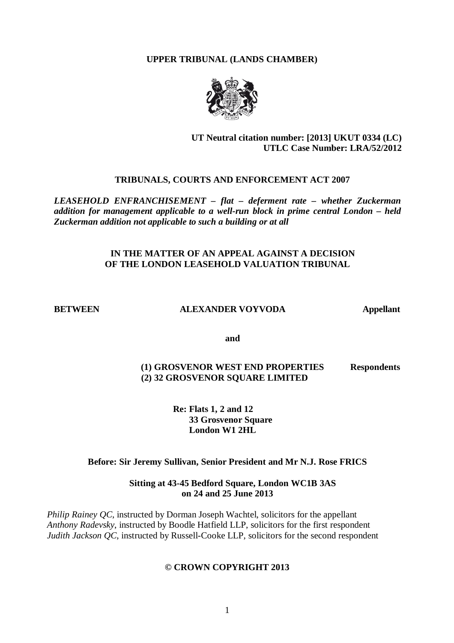**UPPER TRIBUNAL (LANDS CHAMBER)**



## **UT Neutral citation number: [2013] UKUT 0334 (LC) UTLC Case Number: LRA/52/2012**

# **TRIBUNALS, COURTS AND ENFORCEMENT ACT 2007**

*LEASEHOLD ENFRANCHISEMENT – flat – deferment rate – whether Zuckerman addition for management applicable to a well-run block in prime central London – held Zuckerman addition not applicable to such a building or at all*

## **IN THE MATTER OF AN APPEAL AGAINST A DECISION OF THE LONDON LEASEHOLD VALUATION TRIBUNAL**

#### **BETWEEN ALEXANDER VOYVODA Appellant**

**and**

# **(1) GROSVENOR WEST END PROPERTIES Respondents (2) 32 GROSVENOR SQUARE LIMITED**

**Re: Flats 1, 2 and 12 33 Grosvenor Square London W1 2HL**

## **Before: Sir Jeremy Sullivan, Senior President and Mr N.J. Rose FRICS**

## **Sitting at 43-45 Bedford Square, London WC1B 3AS on 24 and 25 June 2013**

*Philip Rainey QC*, instructed by Dorman Joseph Wachtel, solicitors for the appellant *Anthony Radevsky*, instructed by Boodle Hatfield LLP, solicitors for the first respondent *Judith Jackson QC*, instructed by Russell-Cooke LLP, solicitors for the second respondent

#### **© CROWN COPYRIGHT 2013**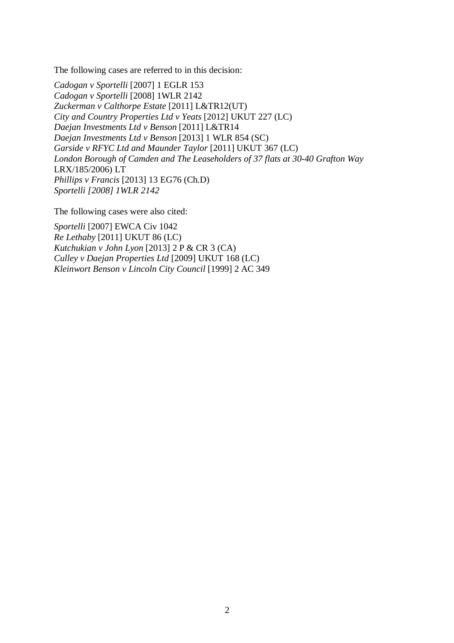The following cases are referred to in this decision:

*Cadogan v Sportelli* [2007] 1 EGLR 153 *Cadogan v Sportelli* [2008] 1WLR 2142 *Zuckerman v Calthorpe Estate* [2011] L&TR12(UT) *City and Country Properties Ltd v Yeats* [2012] UKUT 227 (LC) *Daejan Investments Ltd v Benson* [2011] L&TR14 *Daejan Investments Ltd v Benson* [2013] 1 WLR 854 (SC) *Garside v RFYC Ltd and Maunder Taylor* [2011] UKUT 367 (LC) *London Borough of Camden and The Leaseholders of 37 flats at 30-40 Grafton Way*  LRX/185/2006) LT *Phillips v Francis* [2013] 13 EG76 (Ch.D) *Sportelli [2008] 1WLR 2142*

The following cases were also cited:

*Sportelli* [2007] EWCA Civ 1042 *Re Lethaby* [2011] UKUT 86 (LC) *Kutchukian v John Lyon* [2013] 2 P & CR 3 (CA) *Culley v Daejan Properties Ltd* [2009] UKUT 168 (LC) *Kleinwort Benson v Lincoln City Council* [1999] 2 AC 349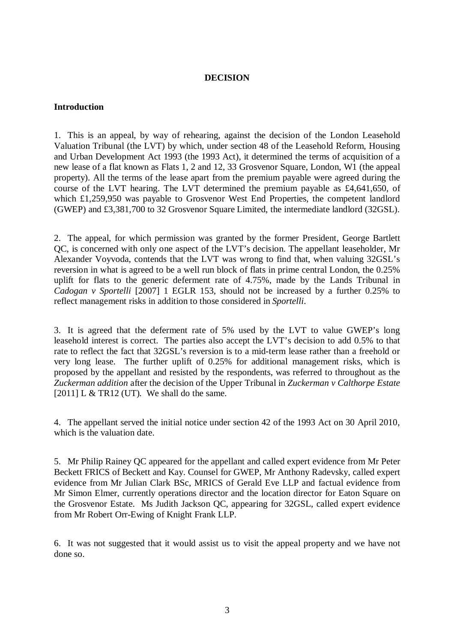## **DECISION**

#### **Introduction**

1. This is an appeal, by way of rehearing, against the decision of the London Leasehold Valuation Tribunal (the LVT) by which, under section 48 of the Leasehold Reform, Housing and Urban Development Act 1993 (the 1993 Act), it determined the terms of acquisition of a new lease of a flat known as Flats 1, 2 and 12, 33 Grosvenor Square, London, W1 (the appeal property). All the terms of the lease apart from the premium payable were agreed during the course of the LVT hearing. The LVT determined the premium payable as £4,641,650, of which £1,259,950 was payable to Grosvenor West End Properties, the competent landlord (GWEP) and £3,381,700 to 32 Grosvenor Square Limited, the intermediate landlord (32GSL).

2. The appeal, for which permission was granted by the former President, George Bartlett QC, is concerned with only one aspect of the LVT's decision. The appellant leaseholder, Mr Alexander Voyvoda, contends that the LVT was wrong to find that, when valuing 32GSL's reversion in what is agreed to be a well run block of flats in prime central London, the 0.25% uplift for flats to the generic deferment rate of 4.75%, made by the Lands Tribunal in *Cadogan v Sportelli* [2007] 1 EGLR 153, should not be increased by a further 0.25% to reflect management risks in addition to those considered in *Sportelli*.

3. It is agreed that the deferment rate of 5% used by the LVT to value GWEP's long leasehold interest is correct. The parties also accept the LVT's decision to add 0.5% to that rate to reflect the fact that 32GSL's reversion is to a mid-term lease rather than a freehold or very long lease. The further uplift of 0.25% for additional management risks, which is proposed by the appellant and resisted by the respondents, was referred to throughout as the *Zuckerman addition* after the decision of the Upper Tribunal in *Zuckerman v Calthorpe Estate*  [2011] L & TR12 (UT)*.* We shall do the same.

4. The appellant served the initial notice under section 42 of the 1993 Act on 30 April 2010, which is the valuation date.

5. Mr Philip Rainey QC appeared for the appellant and called expert evidence from Mr Peter Beckett FRICS of Beckett and Kay. Counsel for GWEP, Mr Anthony Radevsky, called expert evidence from Mr Julian Clark BSc, MRICS of Gerald Eve LLP and factual evidence from Mr Simon Elmer, currently operations director and the location director for Eaton Square on the Grosvenor Estate. Ms Judith Jackson QC, appearing for 32GSL, called expert evidence from Mr Robert Orr-Ewing of Knight Frank LLP.

6. It was not suggested that it would assist us to visit the appeal property and we have not done so.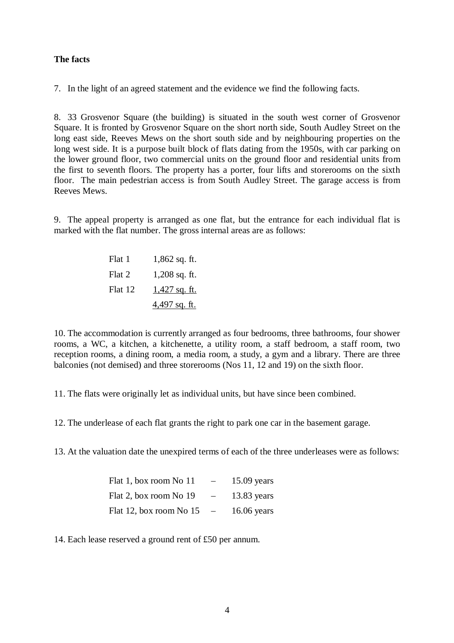## **The facts**

7. In the light of an agreed statement and the evidence we find the following facts.

8. 33 Grosvenor Square (the building) is situated in the south west corner of Grosvenor Square. It is fronted by Grosvenor Square on the short north side, South Audley Street on the long east side, Reeves Mews on the short south side and by neighbouring properties on the long west side. It is a purpose built block of flats dating from the 1950s, with car parking on the lower ground floor, two commercial units on the ground floor and residential units from the first to seventh floors. The property has a porter, four lifts and storerooms on the sixth floor. The main pedestrian access is from South Audley Street. The garage access is from Reeves Mews.

9. The appeal property is arranged as one flat, but the entrance for each individual flat is marked with the flat number. The gross internal areas are as follows:

| Flat 1  | $1,862$ sq. ft.      |
|---------|----------------------|
| Flat 2  | $1,208$ sq. ft.      |
| Flat 12 | <u>1,427 sq. ft.</u> |
|         | 4,497 sq. ft.        |

10. The accommodation is currently arranged as four bedrooms, three bathrooms, four shower rooms, a WC, a kitchen, a kitchenette, a utility room, a staff bedroom, a staff room, two reception rooms, a dining room, a media room, a study, a gym and a library. There are three balconies (not demised) and three storerooms (Nos 11, 12 and 19) on the sixth floor.

11. The flats were originally let as individual units, but have since been combined.

12. The underlease of each flat grants the right to park one car in the basement garage.

13. At the valuation date the unexpired terms of each of the three underleases were as follows:

| Flat 1, box room No 11  | $-$                      | $15.09$ years |
|-------------------------|--------------------------|---------------|
| Flat 2, box room No 19  | $\overline{\phantom{0}}$ | $13.83$ years |
| Flat 12, box room No 15 | $\overline{\phantom{0}}$ | $16.06$ years |

14. Each lease reserved a ground rent of £50 per annum.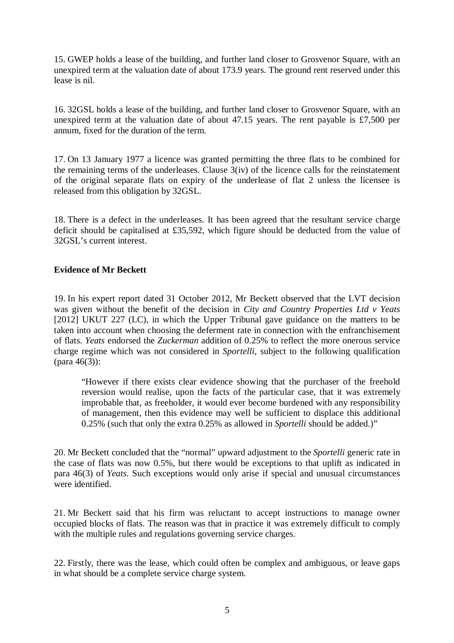15. GWEP holds a lease of the building, and further land closer to Grosvenor Square, with an unexpired term at the valuation date of about 173.9 years. The ground rent reserved under this lease is nil.

16. 32GSL holds a lease of the building, and further land closer to Grosvenor Square, with an unexpired term at the valuation date of about 47.15 years. The rent payable is £7,500 per annum, fixed for the duration of the term.

17. On 13 January 1977 a licence was granted permitting the three flats to be combined for the remaining terms of the underleases. Clause 3(iv) of the licence calls for the reinstatement of the original separate flats on expiry of the underlease of flat 2 unless the licensee is released from this obligation by 32GSL.

18. There is a defect in the underleases. It has been agreed that the resultant service charge deficit should be capitalised at £35,592, which figure should be deducted from the value of 32GSL's current interest.

## **Evidence of Mr Beckett**

19. In his expert report dated 31 October 2012, Mr Beckett observed that the LVT decision was given without the benefit of the decision in *City and Country Properties Ltd v Yeats* [2012] UKUT 227 (LC), in which the Upper Tribunal gave guidance on the matters to be taken into account when choosing the deferment rate in connection with the enfranchisement of flats. *Yeats* endorsed the *Zuckerman* addition of 0.25% to reflect the more onerous service charge regime which was not considered in *Sportelli*, subject to the following qualification (para 46(3)):

"However if there exists clear evidence showing that the purchaser of the freehold reversion would realise, upon the facts of the particular case, that it was extremely improbable that, as freeholder, it would ever become burdened with any responsibility of management, then this evidence may well be sufficient to displace this additional 0.25% (such that only the extra 0.25% as allowed in *Sportelli* should be added.)"

20. Mr Beckett concluded that the "normal" upward adjustment to the *Sportelli* generic rate in the case of flats was now 0.5%, but there would be exceptions to that uplift as indicated in para 46(3) of *Yeats*. Such exceptions would only arise if special and unusual circumstances were identified.

21. Mr Beckett said that his firm was reluctant to accept instructions to manage owner occupied blocks of flats. The reason was that in practice it was extremely difficult to comply with the multiple rules and regulations governing service charges.

22. Firstly, there was the lease, which could often be complex and ambiguous, or leave gaps in what should be a complete service charge system.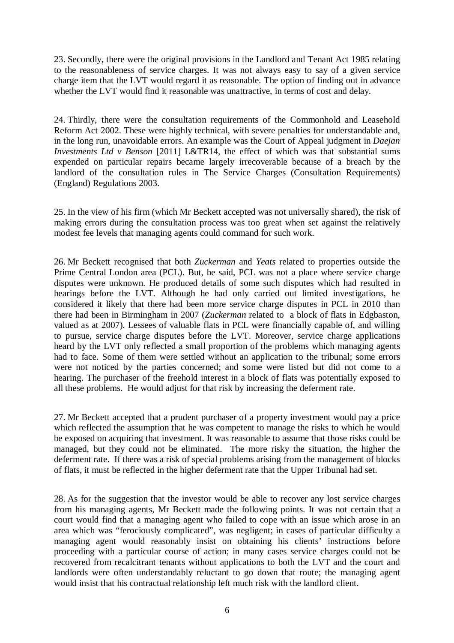23. Secondly, there were the original provisions in the Landlord and Tenant Act 1985 relating to the reasonableness of service charges. It was not always easy to say of a given service charge item that the LVT would regard it as reasonable. The option of finding out in advance whether the LVT would find it reasonable was unattractive, in terms of cost and delay.

24. Thirdly, there were the consultation requirements of the Commonhold and Leasehold Reform Act 2002. These were highly technical, with severe penalties for understandable and, in the long run, unavoidable errors. An example was the Court of Appeal judgment in *Daejan Investments Ltd v Benson* [2011] L&TR14, the effect of which was that substantial sums expended on particular repairs became largely irrecoverable because of a breach by the landlord of the consultation rules in The Service Charges (Consultation Requirements) (England) Regulations 2003.

25. In the view of his firm (which Mr Beckett accepted was not universally shared), the risk of making errors during the consultation process was too great when set against the relatively modest fee levels that managing agents could command for such work.

26. Mr Beckett recognised that both *Zuckerman* and *Yeats* related to properties outside the Prime Central London area (PCL). But, he said, PCL was not a place where service charge disputes were unknown. He produced details of some such disputes which had resulted in hearings before the LVT. Although he had only carried out limited investigations, he considered it likely that there had been more service charge disputes in PCL in 2010 than there had been in Birmingham in 2007 (*Zuckerman* related to a block of flats in Edgbaston, valued as at 2007). Lessees of valuable flats in PCL were financially capable of, and willing to pursue, service charge disputes before the LVT. Moreover, service charge applications heard by the LVT only reflected a small proportion of the problems which managing agents had to face. Some of them were settled without an application to the tribunal; some errors were not noticed by the parties concerned; and some were listed but did not come to a hearing. The purchaser of the freehold interest in a block of flats was potentially exposed to all these problems. He would adjust for that risk by increasing the deferment rate.

27. Mr Beckett accepted that a prudent purchaser of a property investment would pay a price which reflected the assumption that he was competent to manage the risks to which he would be exposed on acquiring that investment. It was reasonable to assume that those risks could be managed, but they could not be eliminated. The more risky the situation, the higher the deferment rate. If there was a risk of special problems arising from the management of blocks of flats, it must be reflected in the higher deferment rate that the Upper Tribunal had set.

28. As for the suggestion that the investor would be able to recover any lost service charges from his managing agents, Mr Beckett made the following points. It was not certain that a court would find that a managing agent who failed to cope with an issue which arose in an area which was "ferociously complicated", was negligent; in cases of particular difficulty a managing agent would reasonably insist on obtaining his clients' instructions before proceeding with a particular course of action; in many cases service charges could not be recovered from recalcitrant tenants without applications to both the LVT and the court and landlords were often understandably reluctant to go down that route; the managing agent would insist that his contractual relationship left much risk with the landlord client.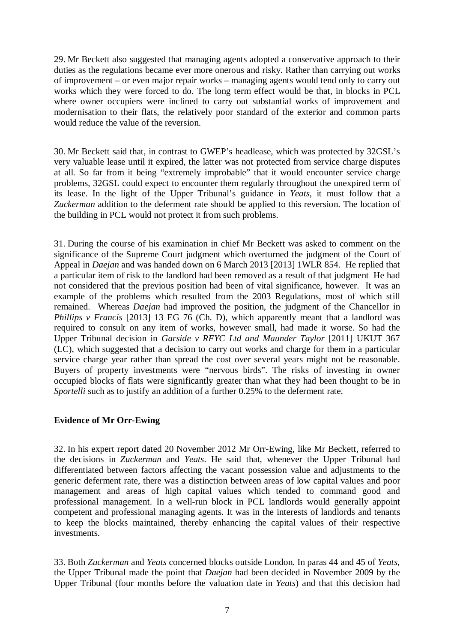29. Mr Beckett also suggested that managing agents adopted a conservative approach to their duties as the regulations became ever more onerous and risky. Rather than carrying out works of improvement – or even major repair works – managing agents would tend only to carry out works which they were forced to do. The long term effect would be that, in blocks in PCL where owner occupiers were inclined to carry out substantial works of improvement and modernisation to their flats, the relatively poor standard of the exterior and common parts would reduce the value of the reversion.

30. Mr Beckett said that, in contrast to GWEP's headlease, which was protected by 32GSL's very valuable lease until it expired, the latter was not protected from service charge disputes at all. So far from it being "extremely improbable" that it would encounter service charge problems, 32GSL could expect to encounter them regularly throughout the unexpired term of its lease. In the light of the Upper Tribunal's guidance in *Yeats*, it must follow that a *Zuckerman* addition to the deferment rate should be applied to this reversion. The location of the building in PCL would not protect it from such problems.

31. During the course of his examination in chief Mr Beckett was asked to comment on the significance of the Supreme Court judgment which overturned the judgment of the Court of Appeal in *Daejan* and was handed down on 6 March 2013 [2013] 1WLR 854. He replied that a particular item of risk to the landlord had been removed as a result of that judgment He had not considered that the previous position had been of vital significance, however. It was an example of the problems which resulted from the 2003 Regulations, most of which still remained. Whereas *Daejan* had improved the position, the judgment of the Chancellor in *Phillips v Francis* [2013] 13 EG 76 (Ch. D), which apparently meant that a landlord was required to consult on any item of works, however small, had made it worse. So had the Upper Tribunal decision in *Garside v RFYC Ltd and Maunder Taylor* [2011] UKUT 367 (LC), which suggested that a decision to carry out works and charge for them in a particular service charge year rather than spread the cost over several years might not be reasonable. Buyers of property investments were "nervous birds". The risks of investing in owner occupied blocks of flats were significantly greater than what they had been thought to be in *Sportelli* such as to justify an addition of a further 0.25% to the deferment rate.

## **Evidence of Mr Orr-Ewing**

32. In his expert report dated 20 November 2012 Mr Orr-Ewing, like Mr Beckett, referred to the decisions in *Zuckerman* and *Yeats*. He said that, whenever the Upper Tribunal had differentiated between factors affecting the vacant possession value and adjustments to the generic deferment rate, there was a distinction between areas of low capital values and poor management and areas of high capital values which tended to command good and professional management. In a well-run block in PCL landlords would generally appoint competent and professional managing agents. It was in the interests of landlords and tenants to keep the blocks maintained, thereby enhancing the capital values of their respective investments.

33. Both *Zuckerman* and *Yeats* concerned blocks outside London. In paras 44 and 45 of *Yeats*, the Upper Tribunal made the point that *Daejan* had been decided in November 2009 by the Upper Tribunal (four months before the valuation date in *Yeats*) and that this decision had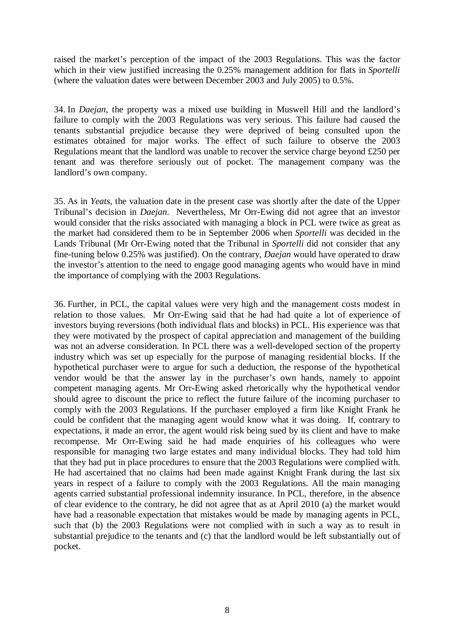raised the market's perception of the impact of the 2003 Regulations. This was the factor which in their view justified increasing the 0.25% management addition for flats in *Sportelli* (where the valuation dates were between December 2003 and July 2005) to 0.5%.

34. In *Daejan*, the property was a mixed use building in Muswell Hill and the landlord's failure to comply with the 2003 Regulations was very serious. This failure had caused the tenants substantial prejudice because they were deprived of being consulted upon the estimates obtained for major works. The effect of such failure to observe the 2003 Regulations meant that the landlord was unable to recover the service charge beyond £250 per tenant and was therefore seriously out of pocket. The management company was the landlord's own company.

35. As in *Yeats,* the valuation date in the present case was shortly after the date of the Upper Tribunal's decision in *Daejan*. Nevertheless, Mr Orr-Ewing did not agree that an investor would consider that the risks associated with managing a block in PCL were twice as great as the market had considered them to be in September 2006 when *Sportelli* was decided in the Lands Tribunal (Mr Orr-Ewing noted that the Tribunal in *Sportelli* did not consider that any fine-tuning below 0.25% was justified). On the contrary, *Daejan* would have operated to draw the investor's attention to the need to engage good managing agents who would have in mind the importance of complying with the 2003 Regulations.

36. Further, in PCL, the capital values were very high and the management costs modest in relation to those values. Mr Orr-Ewing said that he had had quite a lot of experience of investors buying reversions (both individual flats and blocks) in PCL. His experience was that they were motivated by the prospect of capital appreciation and management of the building was not an adverse consideration. In PCL there was a well-developed section of the property industry which was set up especially for the purpose of managing residential blocks. If the hypothetical purchaser were to argue for such a deduction, the response of the hypothetical vendor would be that the answer lay in the purchaser's own hands, namely to appoint competent managing agents. Mr Orr-Ewing asked rhetorically why the hypothetical vendor should agree to discount the price to reflect the future failure of the incoming purchaser to comply with the 2003 Regulations. If the purchaser employed a firm like Knight Frank he could be confident that the managing agent would know what it was doing. If, contrary to expectations, it made an error, the agent would risk being sued by its client and have to make recompense. Mr Orr-Ewing said he had made enquiries of his colleagues who were responsible for managing two large estates and many individual blocks. They had told him that they had put in place procedures to ensure that the 2003 Regulations were complied with. He had ascertained that no claims had been made against Knight Frank during the last six years in respect of a failure to comply with the 2003 Regulations. All the main managing agents carried substantial professional indemnity insurance. In PCL, therefore, in the absence of clear evidence to the contrary, he did not agree that as at April 2010 (a) the market would have had a reasonable expectation that mistakes would be made by managing agents in PCL, such that (b) the 2003 Regulations were not complied with in such a way as to result in substantial prejudice to the tenants and (c) that the landlord would be left substantially out of pocket.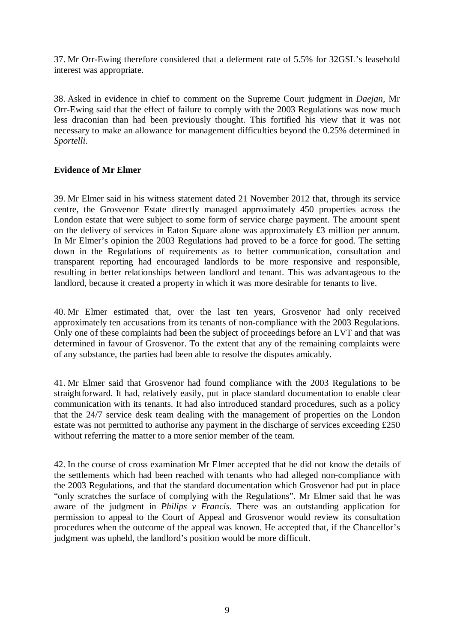37. Mr Orr-Ewing therefore considered that a deferment rate of 5.5% for 32GSL's leasehold interest was appropriate.

38. Asked in evidence in chief to comment on the Supreme Court judgment in *Daejan,* Mr Orr-Ewing said that the effect of failure to comply with the 2003 Regulations was now much less draconian than had been previously thought. This fortified his view that it was not necessary to make an allowance for management difficulties beyond the 0.25% determined in *Sportelli*.

## **Evidence of Mr Elmer**

39. Mr Elmer said in his witness statement dated 21 November 2012 that, through its service centre, the Grosvenor Estate directly managed approximately 450 properties across the London estate that were subject to some form of service charge payment. The amount spent on the delivery of services in Eaton Square alone was approximately £3 million per annum. In Mr Elmer's opinion the 2003 Regulations had proved to be a force for good. The setting down in the Regulations of requirements as to better communication, consultation and transparent reporting had encouraged landlords to be more responsive and responsible, resulting in better relationships between landlord and tenant. This was advantageous to the landlord, because it created a property in which it was more desirable for tenants to live.

40. Mr Elmer estimated that, over the last ten years, Grosvenor had only received approximately ten accusations from its tenants of non-compliance with the 2003 Regulations. Only one of these complaints had been the subject of proceedings before an LVT and that was determined in favour of Grosvenor. To the extent that any of the remaining complaints were of any substance, the parties had been able to resolve the disputes amicably.

41. Mr Elmer said that Grosvenor had found compliance with the 2003 Regulations to be straightforward. It had, relatively easily, put in place standard documentation to enable clear communication with its tenants. It had also introduced standard procedures, such as a policy that the 24/7 service desk team dealing with the management of properties on the London estate was not permitted to authorise any payment in the discharge of services exceeding £250 without referring the matter to a more senior member of the team.

42. In the course of cross examination Mr Elmer accepted that he did not know the details of the settlements which had been reached with tenants who had alleged non-compliance with the 2003 Regulations, and that the standard documentation which Grosvenor had put in place "only scratches the surface of complying with the Regulations". Mr Elmer said that he was aware of the judgment in *Philips v Francis*. There was an outstanding application for permission to appeal to the Court of Appeal and Grosvenor would review its consultation procedures when the outcome of the appeal was known. He accepted that, if the Chancellor's judgment was upheld, the landlord's position would be more difficult.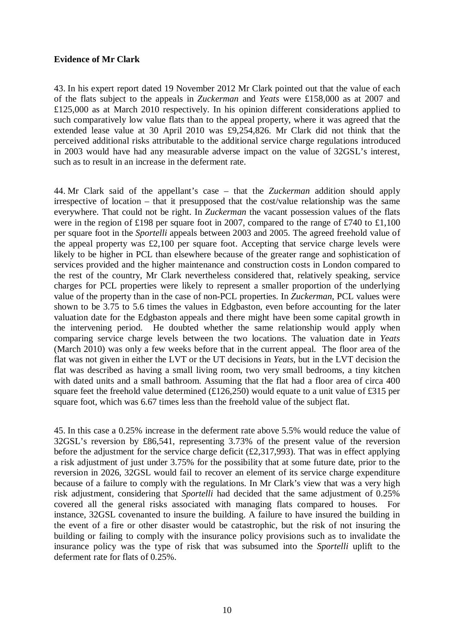## **Evidence of Mr Clark**

43. In his expert report dated 19 November 2012 Mr Clark pointed out that the value of each of the flats subject to the appeals in *Zuckerman* and *Yeats* were £158,000 as at 2007 and £125,000 as at March 2010 respectively. In his opinion different considerations applied to such comparatively low value flats than to the appeal property, where it was agreed that the extended lease value at 30 April 2010 was £9,254,826. Mr Clark did not think that the perceived additional risks attributable to the additional service charge regulations introduced in 2003 would have had any measurable adverse impact on the value of 32GSL's interest, such as to result in an increase in the deferment rate.

44. Mr Clark said of the appellant's case – that the *Zuckerman* addition should apply irrespective of location – that it presupposed that the cost/value relationship was the same everywhere. That could not be right. In *Zuckerman* the vacant possession values of the flats were in the region of £198 per square foot in 2007, compared to the range of £740 to £1,100 per square foot in the *Sportelli* appeals between 2003 and 2005. The agreed freehold value of the appeal property was £2,100 per square foot. Accepting that service charge levels were likely to be higher in PCL than elsewhere because of the greater range and sophistication of services provided and the higher maintenance and construction costs in London compared to the rest of the country, Mr Clark nevertheless considered that, relatively speaking, service charges for PCL properties were likely to represent a smaller proportion of the underlying value of the property than in the case of non-PCL properties. In *Zuckerman*, PCL values were shown to be 3.75 to 5.6 times the values in Edgbaston, even before accounting for the later valuation date for the Edgbaston appeals and there might have been some capital growth in the intervening period. He doubted whether the same relationship would apply when comparing service charge levels between the two locations. The valuation date in *Yeats* (March 2010) was only a few weeks before that in the current appeal. The floor area of the flat was not given in either the LVT or the UT decisions in *Yeats*, but in the LVT decision the flat was described as having a small living room, two very small bedrooms, a tiny kitchen with dated units and a small bathroom. Assuming that the flat had a floor area of circa 400 square feet the freehold value determined  $(\text{\textsterling}126,250)$  would equate to a unit value of  $\text{\textsterling}315$  per square foot, which was 6.67 times less than the freehold value of the subject flat.

45. In this case a 0.25% increase in the deferment rate above 5.5% would reduce the value of 32GSL's reversion by £86,541, representing 3.73% of the present value of the reversion before the adjustment for the service charge deficit  $(f2,317,993)$ . That was in effect applying a risk adjustment of just under 3.75% for the possibility that at some future date, prior to the reversion in 2026, 32GSL would fail to recover an element of its service charge expenditure because of a failure to comply with the regulations. In Mr Clark's view that was a very high risk adjustment, considering that *Sportelli* had decided that the same adjustment of 0.25% covered all the general risks associated with managing flats compared to houses. For instance, 32GSL covenanted to insure the building. A failure to have insured the building in the event of a fire or other disaster would be catastrophic, but the risk of not insuring the building or failing to comply with the insurance policy provisions such as to invalidate the insurance policy was the type of risk that was subsumed into the *Sportelli* uplift to the deferment rate for flats of 0.25%.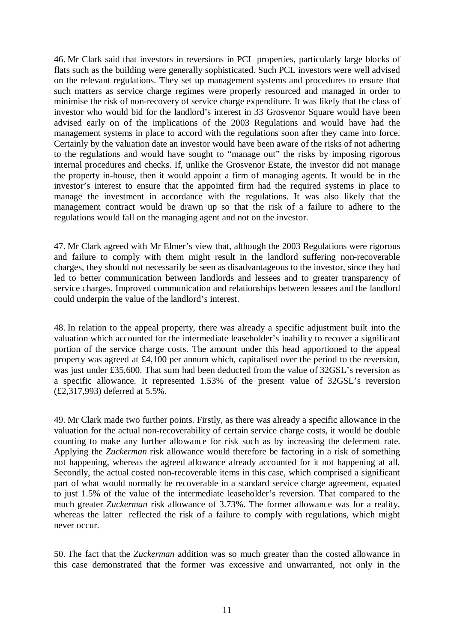46. Mr Clark said that investors in reversions in PCL properties, particularly large blocks of flats such as the building were generally sophisticated. Such PCL investors were well advised on the relevant regulations. They set up management systems and procedures to ensure that such matters as service charge regimes were properly resourced and managed in order to minimise the risk of non-recovery of service charge expenditure. It was likely that the class of investor who would bid for the landlord's interest in 33 Grosvenor Square would have been advised early on of the implications of the 2003 Regulations and would have had the management systems in place to accord with the regulations soon after they came into force. Certainly by the valuation date an investor would have been aware of the risks of not adhering to the regulations and would have sought to "manage out" the risks by imposing rigorous internal procedures and checks. If, unlike the Grosvenor Estate, the investor did not manage the property in-house, then it would appoint a firm of managing agents. It would be in the investor's interest to ensure that the appointed firm had the required systems in place to manage the investment in accordance with the regulations. It was also likely that the management contract would be drawn up so that the risk of a failure to adhere to the regulations would fall on the managing agent and not on the investor.

47. Mr Clark agreed with Mr Elmer's view that, although the 2003 Regulations were rigorous and failure to comply with them might result in the landlord suffering non-recoverable charges, they should not necessarily be seen as disadvantageous to the investor, since they had led to better communication between landlords and lessees and to greater transparency of service charges. Improved communication and relationships between lessees and the landlord could underpin the value of the landlord's interest.

48. In relation to the appeal property, there was already a specific adjustment built into the valuation which accounted for the intermediate leaseholder's inability to recover a significant portion of the service charge costs. The amount under this head apportioned to the appeal property was agreed at £4,100 per annum which, capitalised over the period to the reversion, was just under £35,600. That sum had been deducted from the value of 32GSL's reversion as a specific allowance. It represented 1.53% of the present value of 32GSL's reversion (£2,317,993) deferred at 5.5%.

49. Mr Clark made two further points. Firstly, as there was already a specific allowance in the valuation for the actual non-recoverability of certain service charge costs, it would be double counting to make any further allowance for risk such as by increasing the deferment rate. Applying the *Zuckerman* risk allowance would therefore be factoring in a risk of something not happening, whereas the agreed allowance already accounted for it not happening at all. Secondly, the actual costed non-recoverable items in this case, which comprised a significant part of what would normally be recoverable in a standard service charge agreement, equated to just 1.5% of the value of the intermediate leaseholder's reversion. That compared to the much greater *Zuckerman* risk allowance of 3.73%. The former allowance was for a reality, whereas the latter reflected the risk of a failure to comply with regulations, which might never occur.

50. The fact that the *Zuckerman* addition was so much greater than the costed allowance in this case demonstrated that the former was excessive and unwarranted, not only in the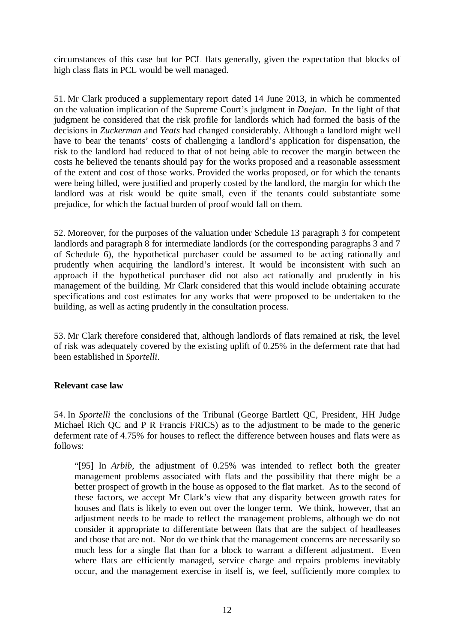circumstances of this case but for PCL flats generally, given the expectation that blocks of high class flats in PCL would be well managed.

51. Mr Clark produced a supplementary report dated 14 June 2013, in which he commented on the valuation implication of the Supreme Court's judgment in *Daejan*. In the light of that judgment he considered that the risk profile for landlords which had formed the basis of the decisions in *Zuckerman* and *Yeats* had changed considerably. Although a landlord might well have to bear the tenants' costs of challenging a landlord's application for dispensation, the risk to the landlord had reduced to that of not being able to recover the margin between the costs he believed the tenants should pay for the works proposed and a reasonable assessment of the extent and cost of those works. Provided the works proposed, or for which the tenants were being billed, were justified and properly costed by the landlord, the margin for which the landlord was at risk would be quite small, even if the tenants could substantiate some prejudice, for which the factual burden of proof would fall on them.

52. Moreover, for the purposes of the valuation under Schedule 13 paragraph 3 for competent landlords and paragraph 8 for intermediate landlords (or the corresponding paragraphs 3 and 7 of Schedule 6), the hypothetical purchaser could be assumed to be acting rationally and prudently when acquiring the landlord's interest. It would be inconsistent with such an approach if the hypothetical purchaser did not also act rationally and prudently in his management of the building. Mr Clark considered that this would include obtaining accurate specifications and cost estimates for any works that were proposed to be undertaken to the building, as well as acting prudently in the consultation process.

53. Mr Clark therefore considered that, although landlords of flats remained at risk, the level of risk was adequately covered by the existing uplift of 0.25% in the deferment rate that had been established in *Sportelli*.

## **Relevant case law**

54. In *Sportelli* the conclusions of the Tribunal (George Bartlett QC, President, HH Judge Michael Rich QC and P R Francis FRICS) as to the adjustment to be made to the generic deferment rate of 4.75% for houses to reflect the difference between houses and flats were as follows:

"[95] In *Arbib*, the adjustment of 0.25% was intended to reflect both the greater management problems associated with flats and the possibility that there might be a better prospect of growth in the house as opposed to the flat market. As to the second of these factors, we accept Mr Clark's view that any disparity between growth rates for houses and flats is likely to even out over the longer term. We think, however, that an adjustment needs to be made to reflect the management problems, although we do not consider it appropriate to differentiate between flats that are the subject of headleases and those that are not. Nor do we think that the management concerns are necessarily so much less for a single flat than for a block to warrant a different adjustment. Even where flats are efficiently managed, service charge and repairs problems inevitably occur, and the management exercise in itself is, we feel, sufficiently more complex to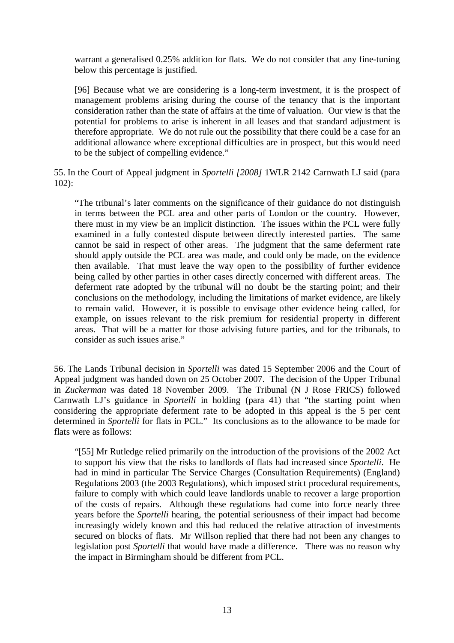warrant a generalised 0.25% addition for flats. We do not consider that any fine-tuning below this percentage is justified.

[96] Because what we are considering is a long-term investment, it is the prospect of management problems arising during the course of the tenancy that is the important consideration rather than the state of affairs at the time of valuation. Our view is that the potential for problems to arise is inherent in all leases and that standard adjustment is therefore appropriate. We do not rule out the possibility that there could be a case for an additional allowance where exceptional difficulties are in prospect, but this would need to be the subject of compelling evidence."

55. In the Court of Appeal judgment in *Sportelli [2008]* 1WLR 2142 Carnwath LJ said (para 102):

"The tribunal's later comments on the significance of their guidance do not distinguish in terms between the PCL area and other parts of London or the country. However, there must in my view be an implicit distinction. The issues within the PCL were fully examined in a fully contested dispute between directly interested parties. The same cannot be said in respect of other areas. The judgment that the same deferment rate should apply outside the PCL area was made, and could only be made, on the evidence then available. That must leave the way open to the possibility of further evidence being called by other parties in other cases directly concerned with different areas. The deferment rate adopted by the tribunal will no doubt be the starting point; and their conclusions on the methodology, including the limitations of market evidence, are likely to remain valid. However, it is possible to envisage other evidence being called, for example, on issues relevant to the risk premium for residential property in different areas. That will be a matter for those advising future parties, and for the tribunals, to consider as such issues arise."

56. The Lands Tribunal decision in *Sportelli* was dated 15 September 2006 and the Court of Appeal judgment was handed down on 25 October 2007. The decision of the Upper Tribunal in *Zuckerman* was dated 18 November 2009. The Tribunal (N J Rose FRICS) followed Carnwath LJ's guidance in *Sportelli* in holding (para 41) that "the starting point when considering the appropriate deferment rate to be adopted in this appeal is the 5 per cent determined in *Sportelli* for flats in PCL." Its conclusions as to the allowance to be made for flats were as follows:

"[55] Mr Rutledge relied primarily on the introduction of the provisions of the 2002 Act to support his view that the risks to landlords of flats had increased since *Sportelli*. He had in mind in particular The Service Charges (Consultation Requirements) (England) Regulations 2003 (the 2003 Regulations), which imposed strict procedural requirements, failure to comply with which could leave landlords unable to recover a large proportion of the costs of repairs. Although these regulations had come into force nearly three years before the *Sportelli* hearing, the potential seriousness of their impact had become increasingly widely known and this had reduced the relative attraction of investments secured on blocks of flats. Mr Willson replied that there had not been any changes to legislation post *Sportelli* that would have made a difference. There was no reason why the impact in Birmingham should be different from PCL.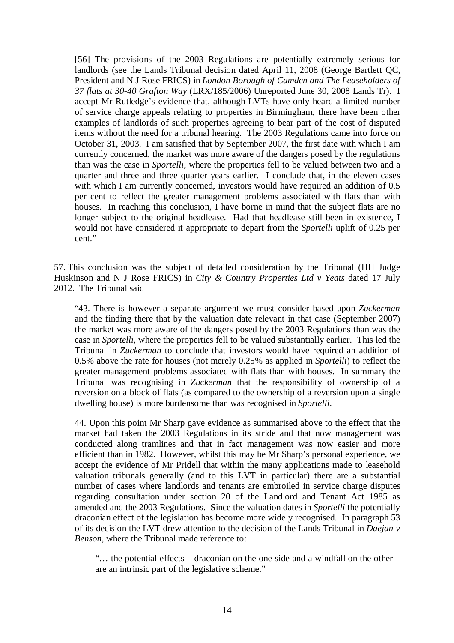[56] The provisions of the 2003 Regulations are potentially extremely serious for landlords (see the Lands Tribunal decision dated April 11, 2008 (George Bartlett QC, President and N J Rose FRICS) in *London Borough of Camden and The Leaseholders of 37 flats at 30-40 Grafton Way* (LRX/185/2006) Unreported June 30, 2008 Lands Tr). I accept Mr Rutledge's evidence that, although LVTs have only heard a limited number of service charge appeals relating to properties in Birmingham, there have been other examples of landlords of such properties agreeing to bear part of the cost of disputed items without the need for a tribunal hearing. The 2003 Regulations came into force on October 31, 2003. I am satisfied that by September 2007, the first date with which I am currently concerned, the market was more aware of the dangers posed by the regulations than was the case in *Sportelli*, where the properties fell to be valued between two and a quarter and three and three quarter years earlier. I conclude that, in the eleven cases with which I am currently concerned, investors would have required an addition of 0.5 per cent to reflect the greater management problems associated with flats than with houses. In reaching this conclusion, I have borne in mind that the subject flats are no longer subject to the original headlease. Had that headlease still been in existence, I would not have considered it appropriate to depart from the *Sportelli* uplift of 0.25 per cent."

57. This conclusion was the subject of detailed consideration by the Tribunal (HH Judge Huskinson and N J Rose FRICS) in *City & Country Properties Ltd v Yeats* dated 17 July 2012. The Tribunal said

"43. There is however a separate argument we must consider based upon *Zuckerman* and the finding there that by the valuation date relevant in that case (September 2007) the market was more aware of the dangers posed by the 2003 Regulations than was the case in *Sportelli*, where the properties fell to be valued substantially earlier. This led the Tribunal in *Zuckerman* to conclude that investors would have required an addition of 0.5% above the rate for houses (not merely 0.25% as applied in *Sportelli*) to reflect the greater management problems associated with flats than with houses. In summary the Tribunal was recognising in *Zuckerman* that the responsibility of ownership of a reversion on a block of flats (as compared to the ownership of a reversion upon a single dwelling house) is more burdensome than was recognised in *Sportelli*.

44. Upon this point Mr Sharp gave evidence as summarised above to the effect that the market had taken the 2003 Regulations in its stride and that now management was conducted along tramlines and that in fact management was now easier and more efficient than in 1982. However, whilst this may be Mr Sharp's personal experience, we accept the evidence of Mr Pridell that within the many applications made to leasehold valuation tribunals generally (and to this LVT in particular) there are a substantial number of cases where landlords and tenants are embroiled in service charge disputes regarding consultation under section 20 of the Landlord and Tenant Act 1985 as amended and the 2003 Regulations. Since the valuation dates in *Sportelli* the potentially draconian effect of the legislation has become more widely recognised. In paragraph 53 of its decision the LVT drew attention to the decision of the Lands Tribunal in *Daejan v Benson*, where the Tribunal made reference to:

"… the potential effects – draconian on the one side and a windfall on the other – are an intrinsic part of the legislative scheme."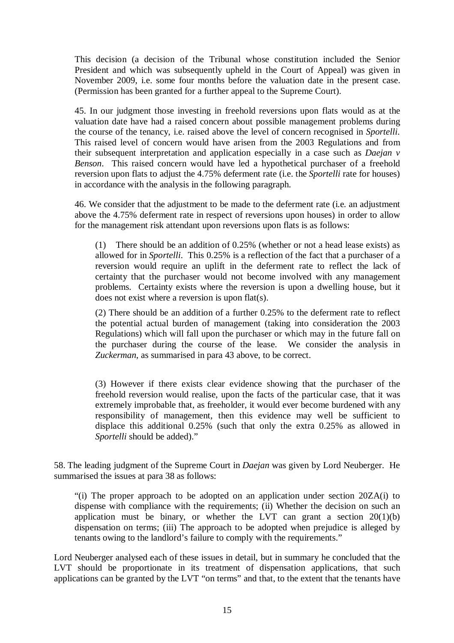This decision (a decision of the Tribunal whose constitution included the Senior President and which was subsequently upheld in the Court of Appeal) was given in November 2009, i.e. some four months before the valuation date in the present case. (Permission has been granted for a further appeal to the Supreme Court).

45. In our judgment those investing in freehold reversions upon flats would as at the valuation date have had a raised concern about possible management problems during the course of the tenancy, i.e. raised above the level of concern recognised in *Sportelli*. This raised level of concern would have arisen from the 2003 Regulations and from their subsequent interpretation and application especially in a case such as *Daejan v Benson*. This raised concern would have led a hypothetical purchaser of a freehold reversion upon flats to adjust the 4.75% deferment rate (i.e. the *Sportelli* rate for houses) in accordance with the analysis in the following paragraph.

46. We consider that the adjustment to be made to the deferment rate (i.e. an adjustment above the 4.75% deferment rate in respect of reversions upon houses) in order to allow for the management risk attendant upon reversions upon flats is as follows:

(1) There should be an addition of 0.25% (whether or not a head lease exists) as allowed for in *Sportelli*. This 0.25% is a reflection of the fact that a purchaser of a reversion would require an uplift in the deferment rate to reflect the lack of certainty that the purchaser would not become involved with any management problems. Certainty exists where the reversion is upon a dwelling house, but it does not exist where a reversion is upon flat(s).

(2) There should be an addition of a further 0.25% to the deferment rate to reflect the potential actual burden of management (taking into consideration the 2003 Regulations) which will fall upon the purchaser or which may in the future fall on the purchaser during the course of the lease. We consider the analysis in *Zuckerman*, as summarised in para 43 above, to be correct.

(3) However if there exists clear evidence showing that the purchaser of the freehold reversion would realise, upon the facts of the particular case, that it was extremely improbable that, as freeholder, it would ever become burdened with any responsibility of management, then this evidence may well be sufficient to displace this additional 0.25% (such that only the extra 0.25% as allowed in *Sportelli* should be added)."

58. The leading judgment of the Supreme Court in *Daejan* was given by Lord Neuberger. He summarised the issues at para 38 as follows:

"(i) The proper approach to be adopted on an application under section 20ZA(i) to dispense with compliance with the requirements; (ii) Whether the decision on such an application must be binary, or whether the LVT can grant a section  $20(1)(b)$ dispensation on terms; (iii) The approach to be adopted when prejudice is alleged by tenants owing to the landlord's failure to comply with the requirements."

Lord Neuberger analysed each of these issues in detail, but in summary he concluded that the LVT should be proportionate in its treatment of dispensation applications, that such applications can be granted by the LVT "on terms" and that, to the extent that the tenants have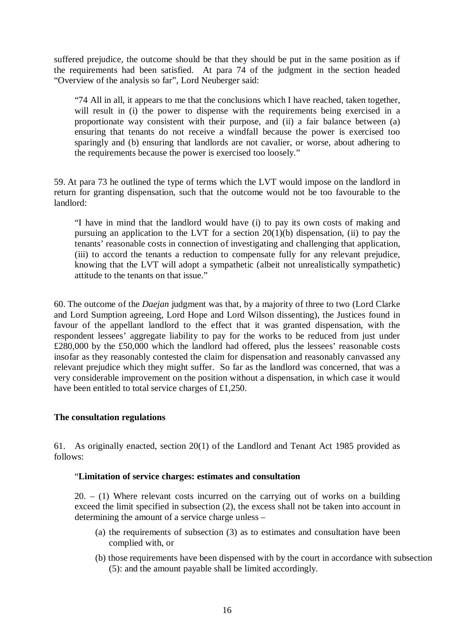suffered prejudice, the outcome should be that they should be put in the same position as if the requirements had been satisfied. At para 74 of the judgment in the section headed "Overview of the analysis so far", Lord Neuberger said:

"74 All in all, it appears to me that the conclusions which I have reached, taken together, will result in (i) the power to dispense with the requirements being exercised in a proportionate way consistent with their purpose, and (ii) a fair balance between (a) ensuring that tenants do not receive a windfall because the power is exercised too sparingly and (b) ensuring that landlords are not cavalier, or worse, about adhering to the requirements because the power is exercised too loosely."

59. At para 73 he outlined the type of terms which the LVT would impose on the landlord in return for granting dispensation, such that the outcome would not be too favourable to the landlord:

"I have in mind that the landlord would have (i) to pay its own costs of making and pursuing an application to the LVT for a section  $20(1)(b)$  dispensation, (ii) to pay the tenants' reasonable costs in connection of investigating and challenging that application, (iii) to accord the tenants a reduction to compensate fully for any relevant prejudice, knowing that the LVT will adopt a sympathetic (albeit not unrealistically sympathetic) attitude to the tenants on that issue."

60. The outcome of the *Daejan* judgment was that, by a majority of three to two (Lord Clarke and Lord Sumption agreeing, Lord Hope and Lord Wilson dissenting), the Justices found in favour of the appellant landlord to the effect that it was granted dispensation, with the respondent lessees' aggregate liability to pay for the works to be reduced from just under £280,000 by the £50,000 which the landlord had offered, plus the lessees' reasonable costs insofar as they reasonably contested the claim for dispensation and reasonably canvassed any relevant prejudice which they might suffer. So far as the landlord was concerned, that was a very considerable improvement on the position without a dispensation, in which case it would have been entitled to total service charges of £1,250.

## **The consultation regulations**

61. As originally enacted, section 20(1) of the Landlord and Tenant Act 1985 provided as follows:

## "**Limitation of service charges: estimates and consultation**

 $20. - (1)$  Where relevant costs incurred on the carrying out of works on a building exceed the limit specified in subsection (2), the excess shall not be taken into account in determining the amount of a service charge unless –

- (a) the requirements of subsection (3) as to estimates and consultation have been complied with, or
- (b) those requirements have been dispensed with by the court in accordance with subsection (5): and the amount payable shall be limited accordingly.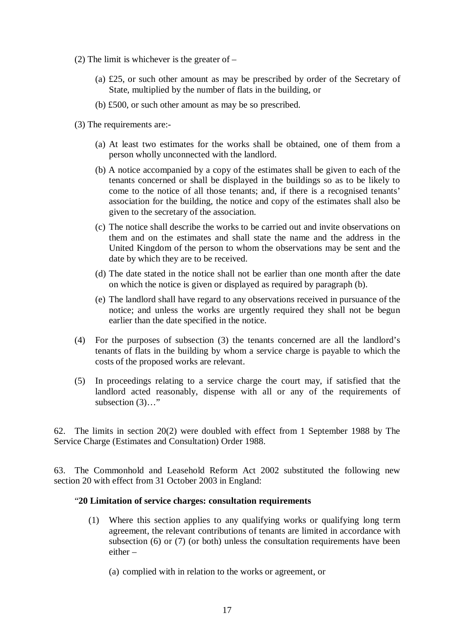- (2) The limit is whichever is the greater of  $-$ 
	- (a) £25, or such other amount as may be prescribed by order of the Secretary of State, multiplied by the number of flats in the building, or
	- (b) £500, or such other amount as may be so prescribed.
- (3) The requirements are:-
	- (a) At least two estimates for the works shall be obtained, one of them from a person wholly unconnected with the landlord.
	- (b) A notice accompanied by a copy of the estimates shall be given to each of the tenants concerned or shall be displayed in the buildings so as to be likely to come to the notice of all those tenants; and, if there is a recognised tenants' association for the building, the notice and copy of the estimates shall also be given to the secretary of the association.
	- (c) The notice shall describe the works to be carried out and invite observations on them and on the estimates and shall state the name and the address in the United Kingdom of the person to whom the observations may be sent and the date by which they are to be received.
	- (d) The date stated in the notice shall not be earlier than one month after the date on which the notice is given or displayed as required by paragraph (b).
	- (e) The landlord shall have regard to any observations received in pursuance of the notice; and unless the works are urgently required they shall not be begun earlier than the date specified in the notice.
- (4) For the purposes of subsection (3) the tenants concerned are all the landlord's tenants of flats in the building by whom a service charge is payable to which the costs of the proposed works are relevant.
- (5) In proceedings relating to a service charge the court may, if satisfied that the landlord acted reasonably, dispense with all or any of the requirements of subsection  $(3)$ …"

62. The limits in section 20(2) were doubled with effect from 1 September 1988 by The Service Charge (Estimates and Consultation) Order 1988.

63. The Commonhold and Leasehold Reform Act 2002 substituted the following new section 20 with effect from 31 October 2003 in England:

## "**20 Limitation of service charges: consultation requirements**

(1) Where this section applies to any qualifying works or qualifying long term agreement, the relevant contributions of tenants are limited in accordance with subsection (6) or (7) (or both) unless the consultation requirements have been either –

(a) complied with in relation to the works or agreement, or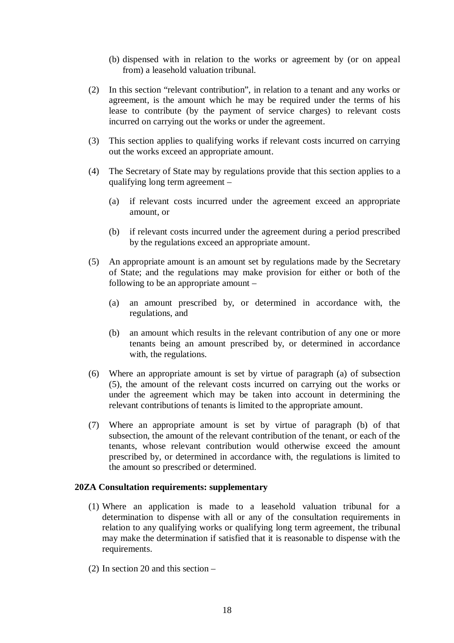- (b) dispensed with in relation to the works or agreement by (or on appeal from) a leasehold valuation tribunal.
- (2) In this section "relevant contribution", in relation to a tenant and any works or agreement, is the amount which he may be required under the terms of his lease to contribute (by the payment of service charges) to relevant costs incurred on carrying out the works or under the agreement.
- (3) This section applies to qualifying works if relevant costs incurred on carrying out the works exceed an appropriate amount.
- (4) The Secretary of State may by regulations provide that this section applies to a qualifying long term agreement –
	- (a) if relevant costs incurred under the agreement exceed an appropriate amount, or
	- (b) if relevant costs incurred under the agreement during a period prescribed by the regulations exceed an appropriate amount.
- (5) An appropriate amount is an amount set by regulations made by the Secretary of State; and the regulations may make provision for either or both of the following to be an appropriate amount –
	- (a) an amount prescribed by, or determined in accordance with, the regulations, and
	- (b) an amount which results in the relevant contribution of any one or more tenants being an amount prescribed by, or determined in accordance with, the regulations.
- (6) Where an appropriate amount is set by virtue of paragraph (a) of subsection (5), the amount of the relevant costs incurred on carrying out the works or under the agreement which may be taken into account in determining the relevant contributions of tenants is limited to the appropriate amount.
- (7) Where an appropriate amount is set by virtue of paragraph (b) of that subsection, the amount of the relevant contribution of the tenant, or each of the tenants, whose relevant contribution would otherwise exceed the amount prescribed by, or determined in accordance with, the regulations is limited to the amount so prescribed or determined.

#### **20ZA Consultation requirements: supplementary**

- (1) Where an application is made to a leasehold valuation tribunal for a determination to dispense with all or any of the consultation requirements in relation to any qualifying works or qualifying long term agreement, the tribunal may make the determination if satisfied that it is reasonable to dispense with the requirements.
- (2) In section 20 and this section –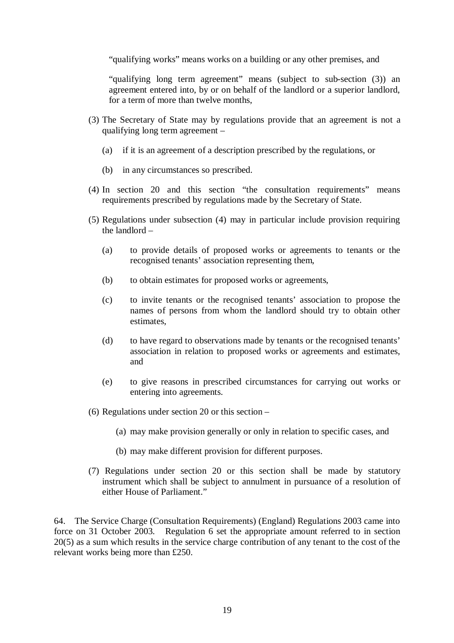"qualifying works" means works on a building or any other premises, and

"qualifying long term agreement" means (subject to sub-section (3)) an agreement entered into, by or on behalf of the landlord or a superior landlord, for a term of more than twelve months,

- (3) The Secretary of State may by regulations provide that an agreement is not a qualifying long term agreement –
	- (a) if it is an agreement of a description prescribed by the regulations, or
	- (b) in any circumstances so prescribed.
- (4) In section 20 and this section "the consultation requirements" means requirements prescribed by regulations made by the Secretary of State.
- (5) Regulations under subsection (4) may in particular include provision requiring the landlord –
	- (a) to provide details of proposed works or agreements to tenants or the recognised tenants' association representing them,
	- (b) to obtain estimates for proposed works or agreements,
	- (c) to invite tenants or the recognised tenants' association to propose the names of persons from whom the landlord should try to obtain other estimates,
	- (d) to have regard to observations made by tenants or the recognised tenants' association in relation to proposed works or agreements and estimates, and
	- (e) to give reasons in prescribed circumstances for carrying out works or entering into agreements.
- (6) Regulations under section 20 or this section
	- (a) may make provision generally or only in relation to specific cases, and
	- (b) may make different provision for different purposes.
- (7) Regulations under section 20 or this section shall be made by statutory instrument which shall be subject to annulment in pursuance of a resolution of either House of Parliament."

64. The Service Charge (Consultation Requirements) (England) Regulations 2003 came into force on 31 October 2003. Regulation 6 set the appropriate amount referred to in section 20(5) as a sum which results in the service charge contribution of any tenant to the cost of the relevant works being more than £250.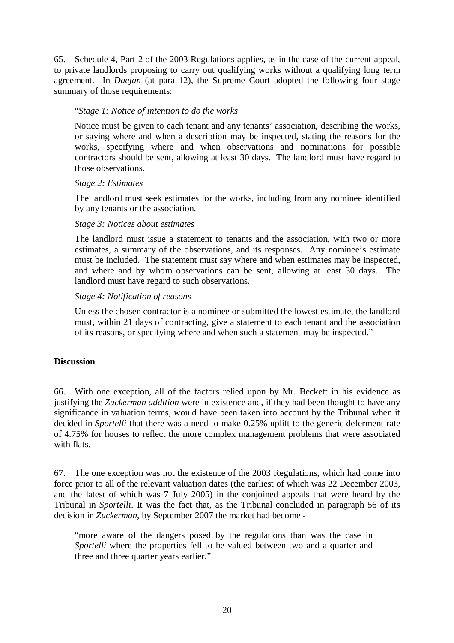65. Schedule 4, Part 2 of the 2003 Regulations applies, as in the case of the current appeal, to private landlords proposing to carry out qualifying works without a qualifying long term agreement. In *Daejan* (at para 12), the Supreme Court adopted the following four stage summary of those requirements:

## "*Stage 1: Notice of intention to do the works*

Notice must be given to each tenant and any tenants' association, describing the works, or saying where and when a description may be inspected, stating the reasons for the works, specifying where and when observations and nominations for possible contractors should be sent, allowing at least 30 days. The landlord must have regard to those observations.

## *Stage 2: Estimates*

The landlord must seek estimates for the works, including from any nominee identified by any tenants or the association.

## *Stage 3: Notices about estimates*

The landlord must issue a statement to tenants and the association, with two or more estimates, a summary of the observations, and its responses. Any nominee's estimate must be included. The statement must say where and when estimates may be inspected, and where and by whom observations can be sent, allowing at least 30 days. The landlord must have regard to such observations.

## *Stage 4: Notification of reasons*

Unless the chosen contractor is a nominee or submitted the lowest estimate, the landlord must, within 21 days of contracting, give a statement to each tenant and the association of its reasons, or specifying where and when such a statement may be inspected."

# **Discussion**

66. With one exception, all of the factors relied upon by Mr. Beckett in his evidence as justifying the *Zuckerman addition* were in existence and, if they had been thought to have any significance in valuation terms, would have been taken into account by the Tribunal when it decided in *Sportelli* that there was a need to make 0.25% uplift to the generic deferment rate of 4.75% for houses to reflect the more complex management problems that were associated with flats.

67. The one exception was not the existence of the 2003 Regulations, which had come into force prior to all of the relevant valuation dates (the earliest of which was 22 December 2003, and the latest of which was 7 July 2005) in the conjoined appeals that were heard by the Tribunal in *Sportelli*. It was the fact that, as the Tribunal concluded in paragraph 56 of its decision in *Zuckerman*, by September 2007 the market had become -

"more aware of the dangers posed by the regulations than was the case in *Sportelli* where the properties fell to be valued between two and a quarter and three and three quarter years earlier."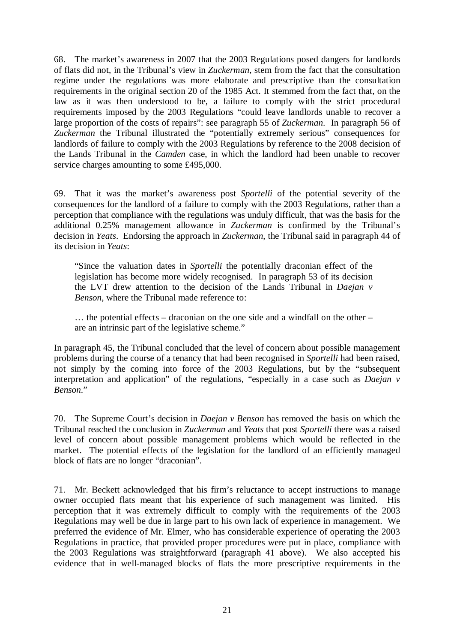68. The market's awareness in 2007 that the 2003 Regulations posed dangers for landlords of flats did not, in the Tribunal's view in *Zuckerman*, stem from the fact that the consultation regime under the regulations was more elaborate and prescriptive than the consultation requirements in the original section 20 of the 1985 Act. It stemmed from the fact that, on the law as it was then understood to be, a failure to comply with the strict procedural requirements imposed by the 2003 Regulations "could leave landlords unable to recover a large proportion of the costs of repairs": see paragraph 55 of *Zuckerman*. In paragraph 56 of *Zuckerman* the Tribunal illustrated the "potentially extremely serious" consequences for landlords of failure to comply with the 2003 Regulations by reference to the 2008 decision of the Lands Tribunal in the *Camden* case, in which the landlord had been unable to recover service charges amounting to some £495,000.

69. That it was the market's awareness post *Sportelli* of the potential severity of the consequences for the landlord of a failure to comply with the 2003 Regulations, rather than a perception that compliance with the regulations was unduly difficult, that was the basis for the additional 0.25% management allowance in *Zuckerman* is confirmed by the Tribunal's decision in *Yeats*. Endorsing the approach in *Zuckerman*, the Tribunal said in paragraph 44 of its decision in *Yeats*:

"Since the valuation dates in *Sportelli* the potentially draconian effect of the legislation has become more widely recognised. In paragraph 53 of its decision the LVT drew attention to the decision of the Lands Tribunal in *Daejan v Benson*, where the Tribunal made reference to:

… the potential effects – draconian on the one side and a windfall on the other – are an intrinsic part of the legislative scheme."

In paragraph 45, the Tribunal concluded that the level of concern about possible management problems during the course of a tenancy that had been recognised in *Sportelli* had been raised, not simply by the coming into force of the 2003 Regulations, but by the "subsequent interpretation and application" of the regulations, "especially in a case such as *Daejan v Benson*."

70. The Supreme Court's decision in *Daejan v Benson* has removed the basis on which the Tribunal reached the conclusion in *Zuckerman* and *Yeats* that post *Sportelli* there was a raised level of concern about possible management problems which would be reflected in the market. The potential effects of the legislation for the landlord of an efficiently managed block of flats are no longer "draconian".

71. Mr. Beckett acknowledged that his firm's reluctance to accept instructions to manage owner occupied flats meant that his experience of such management was limited. His perception that it was extremely difficult to comply with the requirements of the 2003 Regulations may well be due in large part to his own lack of experience in management. We preferred the evidence of Mr. Elmer, who has considerable experience of operating the 2003 Regulations in practice, that provided proper procedures were put in place, compliance with the 2003 Regulations was straightforward (paragraph 41 above). We also accepted his evidence that in well-managed blocks of flats the more prescriptive requirements in the